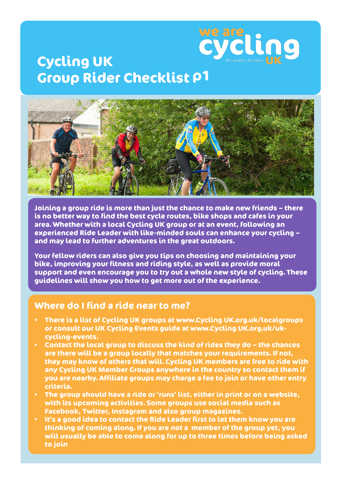

# **Cycling UK Group Rider Checklist p1**



**Joining a group ride is more than just the chance to make new friends – there is no better way to find the best cycle routes, bike shops and cafes in your area. Whether with a local Cycling UK group or at an event, following an experienced Ride Leader with like-minded souls can enhance your cycling – and may lead to further adventures in the great outdoors.** 

**Your fellow riders can also give you tips on choosing and maintaining your bike, improving your fitness and riding style, as well as provide moral support and even encourage you to try out a whole new style of cycling. These guidelines will show you how to get more out of the experience.**

## **Where do I find a ride near to me?**

- **• There is a list of Cycling UK groups at www.Cycling UK.org.uk/localgroups or consult our UK Cycling Events guide at www.Cycling UK.org.uk/ukcycling-events.**
- **• Contact the local group to discuss the kind of rides they do the chances are there will be a group locally that matches your requirements. If not, they may know of others that will. Cycling UK members are free to ride with any Cycling UK Member Groups anywhere in the country so contact them if you are nearby. Affiliate groups may charge a fee to join or have other entry criteria.**
- **• The group should have a ride or 'runs' list, either in print or on a website, with its upcoming activities. Some groups use social media such as Facebook, Twitter, Instagram and also group magazines.**
- **• It's a good idea to contact the Ride Leader first to let them know you are thinking of coming along. If you are not a member of the group yet, you will usually be able to come along for up to three times before being asked to join**